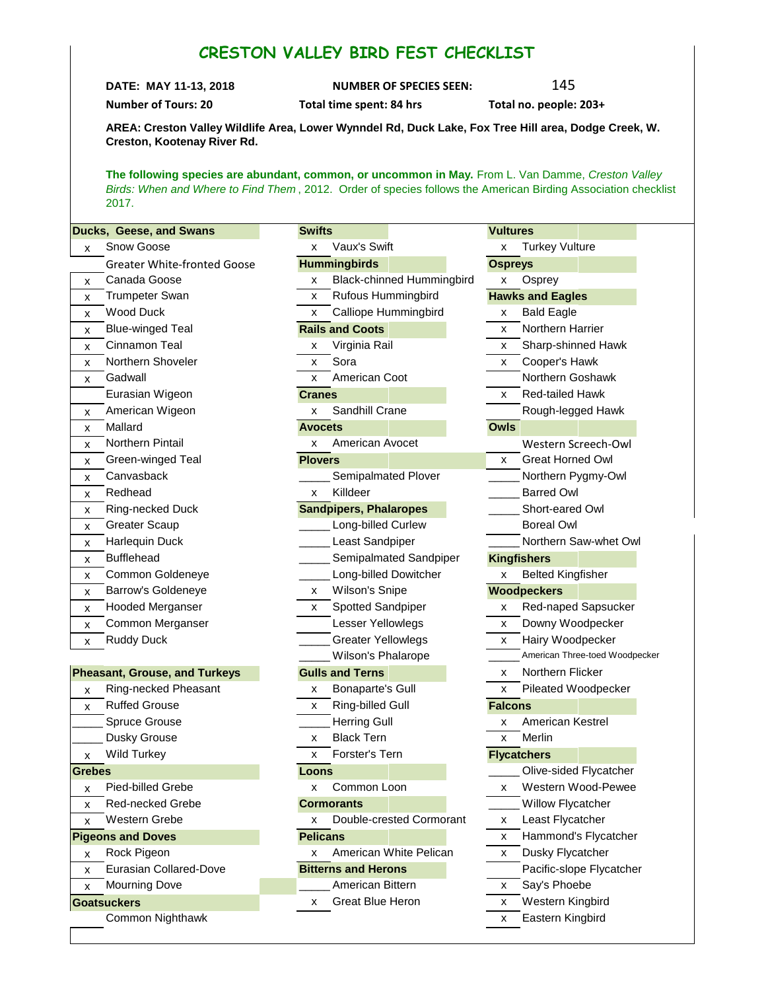## **CRESTON VALLEY BIRD FEST CHECKLIST**

**DATE: MAY 11-13, 2018 NUMBER OF SPECIES SEEN:** 145

**Number of Tours: 20 Total time spent: 84 hrs Total no. people: 203+**

**AREA: Creston Valley Wildlife Area, Lower Wynndel Rd, Duck Lake, Fox Tree Hill area, Dodge Creek, W. Creston, Kootenay River Rd.**

**The following species are abundant, common, or uncommon in May.** From L. Van Damme, *Creston Valley Birds: When and Where to Find Them* , 2012. Order of species follows the American Birding Association checklist 2017.

| Ducks, Geese, and Swans              | <b>Swifts</b>                         | <b>Vultures</b>                |
|--------------------------------------|---------------------------------------|--------------------------------|
| Snow Goose<br>x                      | Vaux's Swift<br>X                     | <b>Turkey Vulture</b><br>x     |
| <b>Greater White-fronted Goose</b>   | <b>Hummingbirds</b>                   | <b>Ospreys</b>                 |
| Canada Goose<br>x                    | <b>Black-chinned Hummingbird</b><br>x | Osprey<br>x                    |
| <b>Trumpeter Swan</b><br>x           | Rufous Hummingbird<br>x               | <b>Hawks and Eagles</b>        |
| <b>Wood Duck</b><br>x                | Calliope Hummingbird<br>x             | <b>Bald Eagle</b><br>x         |
| <b>Blue-winged Teal</b><br>x         | <b>Rails and Coots</b>                | Northern Harrier<br>x          |
| Cinnamon Teal<br>x                   | Virginia Rail<br>х                    | Sharp-shinned Hawk<br>x        |
| Northern Shoveler<br>x               | Sora<br>x                             | Cooper's Hawk<br>x.            |
| Gadwall<br>x                         | American Coot<br>x                    | Northern Goshawk               |
| Eurasian Wigeon                      | <b>Cranes</b>                         | Red-tailed Hawk<br>x           |
| American Wigeon<br>x                 | Sandhill Crane<br>x                   | Rough-legged Hawk              |
| Mallard<br>X                         | <b>Avocets</b>                        | <b>Owls</b>                    |
| Northern Pintail<br>X                | American Avocet<br>x                  | Western Screech-Owl            |
| Green-winged Teal<br>x               | <b>Plovers</b>                        | <b>Great Horned Owl</b><br>X.  |
| Canvasback<br>x                      | Semipalmated Plover                   | Northern Pygmy-Owl             |
| Redhead<br>x                         | Killdeer<br>X                         | <b>Barred Owl</b>              |
| Ring-necked Duck<br>x                | <b>Sandpipers, Phalaropes</b>         | Short-eared Owl                |
| <b>Greater Scaup</b><br>x            | Long-billed Curlew                    | <b>Boreal Owl</b>              |
| Harlequin Duck<br>x                  | Least Sandpiper                       | Northern Saw-whet Owl          |
| <b>Bufflehead</b><br>x               | Semipalmated Sandpiper                | <b>Kingfishers</b>             |
| Common Goldeneye<br>x                | Long-billed Dowitcher                 | <b>Belted Kingfisher</b><br>x  |
| Barrow's Goldeneye<br>x              | Wilson's Snipe<br>x                   | <b>Woodpeckers</b>             |
| Hooded Merganser<br>x                | Spotted Sandpiper<br>X                | Red-naped Sapsucker<br>x       |
| Common Merganser<br>X                | Lesser Yellowlegs                     | Downy Woodpecker<br>x          |
| <b>Ruddy Duck</b><br>x               | <b>Greater Yellowlegs</b>             | Hairy Woodpecker<br>X          |
|                                      | Wilson's Phalarope                    | American Three-toed Woodpecker |
| <b>Pheasant, Grouse, and Turkeys</b> | <b>Gulls and Terns</b>                | Northern Flicker<br>x          |
| Ring-necked Pheasant<br>X            | <b>Bonaparte's Gull</b><br>x          | Pileated Woodpecker<br>x       |
| <b>Ruffed Grouse</b><br>X            | Ring-billed Gull<br>X                 | <b>Falcons</b>                 |
| <b>Spruce Grouse</b>                 | <b>Herring Gull</b>                   | American Kestrel<br>x          |
| Dusky Grouse                         | <b>Black Tern</b><br>х                | Merlin<br>x                    |
| Wild Turkey<br>x                     | Forster's Tern<br>x                   | <b>Flycatchers</b>             |
| <b>Grebes</b>                        | Loons                                 | Olive-sided Flycatcher         |
| Pied-billed Grebe<br>х               | Common Loon<br>х                      | Western Wood-Pewee<br>x        |
| Red-necked Grebe<br>x                | <b>Cormorants</b>                     | Willow Flycatcher              |
| Western Grebe<br>x                   | Double-crested Cormorant<br>x         | Least Flycatcher<br>x          |
| <b>Pigeons and Doves</b>             | <b>Pelicans</b>                       | Hammond's Flycatcher<br>x      |
| Rock Pigeon<br>X                     | American White Pelican<br>x           | Dusky Flycatcher<br>x          |
| Eurasian Collared-Dove<br>x          | <b>Bitterns and Herons</b>            | Pacific-slope Flycatcher       |

- x Mourning Dove **Later Lines and Structure American Bittern X Say's Phoebe**
- **Goatsuckers x** Great Blue Heron **x** Western Kingbird **Common Nighthawk** X **Eastern Kingbird X** Eastern Kingbird